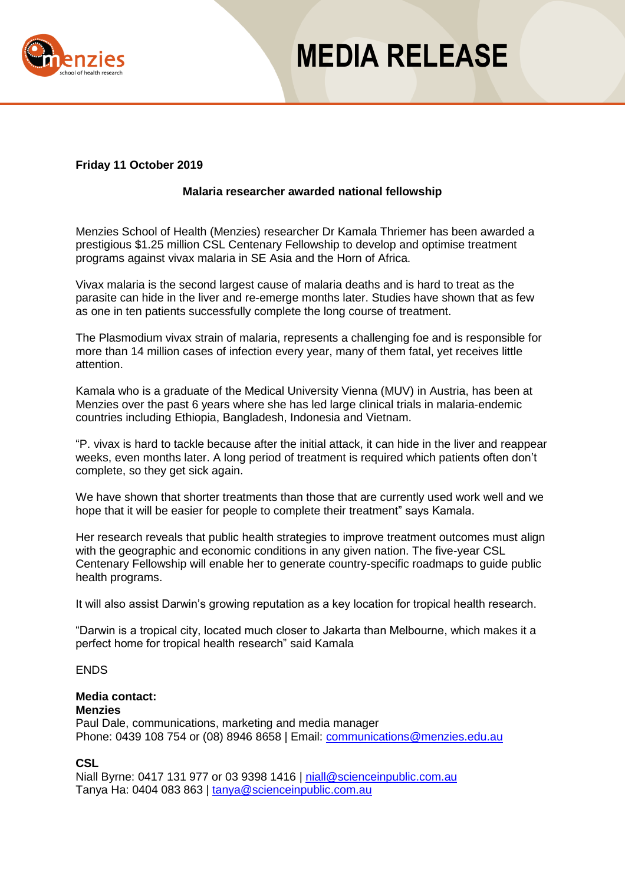

## **MEDIA RELEASE**

#### **Friday 11 October 2019**

#### **Malaria researcher awarded national fellowship**

Menzies School of Health (Menzies) researcher Dr Kamala Thriemer has been awarded a prestigious \$1.25 million CSL Centenary Fellowship to develop and optimise treatment programs against vivax malaria in SE Asia and the Horn of Africa.

Vivax malaria is the second largest cause of malaria deaths and is hard to treat as the parasite can hide in the liver and re-emerge months later. Studies have shown that as few as one in ten patients successfully complete the long course of treatment.

The Plasmodium vivax strain of malaria, represents a challenging foe and is responsible for more than 14 million cases of infection every year, many of them fatal, yet receives little attention.

Kamala who is a graduate of the Medical University Vienna (MUV) in Austria, has been at Menzies over the past 6 years where she has led large clinical trials in malaria-endemic countries including Ethiopia, Bangladesh, Indonesia and Vietnam.

"P. vivax is hard to tackle because after the initial attack, it can hide in the liver and reappear weeks, even months later. A long period of treatment is required which patients often don't complete, so they get sick again.

We have shown that shorter treatments than those that are currently used work well and we hope that it will be easier for people to complete their treatment" says Kamala.

Her research reveals that public health strategies to improve treatment outcomes must align with the geographic and economic conditions in any given nation. The five-year CSL Centenary Fellowship will enable her to generate country-specific roadmaps to guide public health programs.

It will also assist Darwin's growing reputation as a key location for tropical health research.

"Darwin is a tropical city, located much closer to Jakarta than Melbourne, which makes it a perfect home for tropical health research" said Kamala

#### ENDS

### **Media contact:**

**Menzies**

Paul Dale, communications, marketing and media manager Phone: 0439 108 754 or (08) 8946 8658 | Email: [communications@menzies.edu.au](mailto:communications@menzies.edu.au)

#### **CSL**

Niall Byrne: 0417 131 977 or 03 9398 1416 | [niall@scienceinpublic.com.au](mailto:niall@scienceinpublic.com.au) Tanya Ha: 0404 083 863 | [tanya@scienceinpublic.com.au](mailto:tanya@scienceinpublic.com.au)